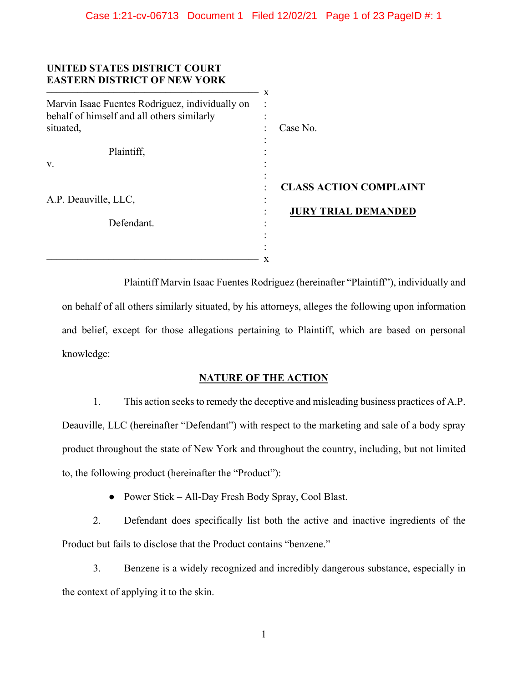| UNITED STATES DISTRICT COURT<br><b>EASTERN DISTRICT OF NEW YORK</b>                           | X |                               |
|-----------------------------------------------------------------------------------------------|---|-------------------------------|
| Marvin Isaac Fuentes Rodriguez, individually on<br>behalf of himself and all others similarly |   |                               |
| situated,                                                                                     |   | Case No.                      |
| Plaintiff,                                                                                    |   |                               |
| V.                                                                                            |   |                               |
|                                                                                               |   | <b>CLASS ACTION COMPLAINT</b> |
| A.P. Deauville, LLC,                                                                          |   | <b>JURY TRIAL DEMANDED</b>    |
| Defendant.                                                                                    |   |                               |
|                                                                                               |   |                               |
|                                                                                               | x |                               |

Plaintiff Marvin Isaac Fuentes Rodriguez (hereinafter "Plaintiff"), individually and on behalf of all others similarly situated, by his attorneys, alleges the following upon information and belief, except for those allegations pertaining to Plaintiff, which are based on personal knowledge:

# **NATURE OF THE ACTION**

1. This action seeks to remedy the deceptive and misleading business practices of A.P. Deauville, LLC (hereinafter "Defendant") with respect to the marketing and sale of a body spray product throughout the state of New York and throughout the country, including, but not limited to, the following product (hereinafter the "Product"):

● Power Stick – All-Day Fresh Body Spray, Cool Blast.

2. Defendant does specifically list both the active and inactive ingredients of the Product but fails to disclose that the Product contains "benzene."

3. Benzene is a widely recognized and incredibly dangerous substance, especially in the context of applying it to the skin.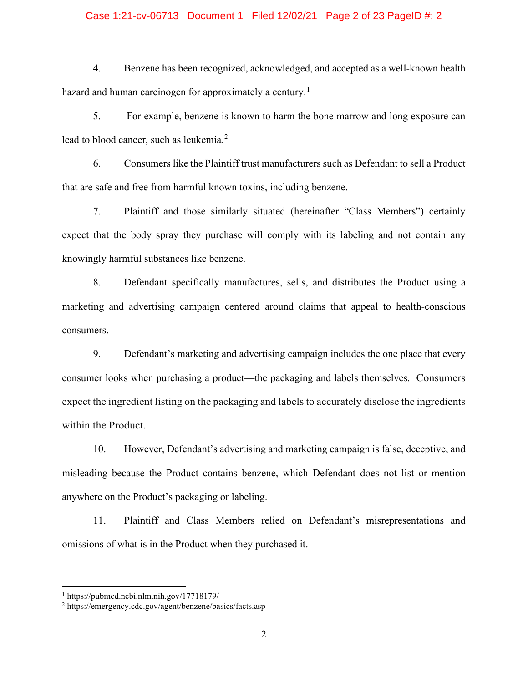# Case 1:21-cv-06713 Document 1 Filed 12/02/21 Page 2 of 23 PageID #: 2

4. Benzene has been recognized, acknowledged, and accepted as a well-known health hazard and human carcinogen for approximately a century.<sup>[1](#page-1-0)</sup>

5. For example, benzene is known to harm the bone marrow and long exposure can lead to blood cancer, such as leukemia.<sup>[2](#page-1-1)</sup>

6. Consumers like the Plaintiff trust manufacturers such as Defendant to sell a Product that are safe and free from harmful known toxins, including benzene.

7. Plaintiff and those similarly situated (hereinafter "Class Members") certainly expect that the body spray they purchase will comply with its labeling and not contain any knowingly harmful substances like benzene.

8. Defendant specifically manufactures, sells, and distributes the Product using a marketing and advertising campaign centered around claims that appeal to health-conscious consumers.

9. Defendant's marketing and advertising campaign includes the one place that every consumer looks when purchasing a product—the packaging and labels themselves. Consumers expect the ingredient listing on the packaging and labels to accurately disclose the ingredients within the Product.

10. However, Defendant's advertising and marketing campaign is false, deceptive, and misleading because the Product contains benzene, which Defendant does not list or mention anywhere on the Product's packaging or labeling.

11. Plaintiff and Class Members relied on Defendant's misrepresentations and omissions of what is in the Product when they purchased it.

<span id="page-1-0"></span><sup>1</sup> https://pubmed.ncbi.nlm.nih.gov/17718179/

<span id="page-1-1"></span><sup>2</sup> https://emergency.cdc.gov/agent/benzene/basics/facts.asp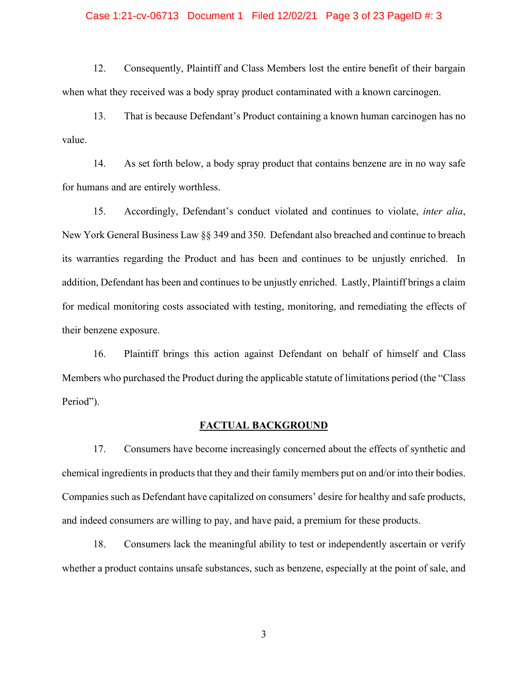## Case 1:21-cv-06713 Document 1 Filed 12/02/21 Page 3 of 23 PageID #: 3

12. Consequently, Plaintiff and Class Members lost the entire benefit of their bargain when what they received was a body spray product contaminated with a known carcinogen.

13. That is because Defendant's Product containing a known human carcinogen has no value.

14. As set forth below, a body spray product that contains benzene are in no way safe for humans and are entirely worthless.

15. Accordingly, Defendant's conduct violated and continues to violate, *inter alia*, New York General Business Law §§ 349 and 350. Defendant also breached and continue to breach its warranties regarding the Product and has been and continues to be unjustly enriched. In addition, Defendant has been and continues to be unjustly enriched. Lastly, Plaintiff brings a claim for medical monitoring costs associated with testing, monitoring, and remediating the effects of their benzene exposure.

16. Plaintiff brings this action against Defendant on behalf of himself and Class Members who purchased the Product during the applicable statute of limitations period (the "Class Period").

# **FACTUAL BACKGROUND**

17. Consumers have become increasingly concerned about the effects of synthetic and chemical ingredients in products that they and their family members put on and/or into their bodies. Companies such as Defendant have capitalized on consumers' desire for healthy and safe products, and indeed consumers are willing to pay, and have paid, a premium for these products.

18. Consumers lack the meaningful ability to test or independently ascertain or verify whether a product contains unsafe substances, such as benzene, especially at the point of sale, and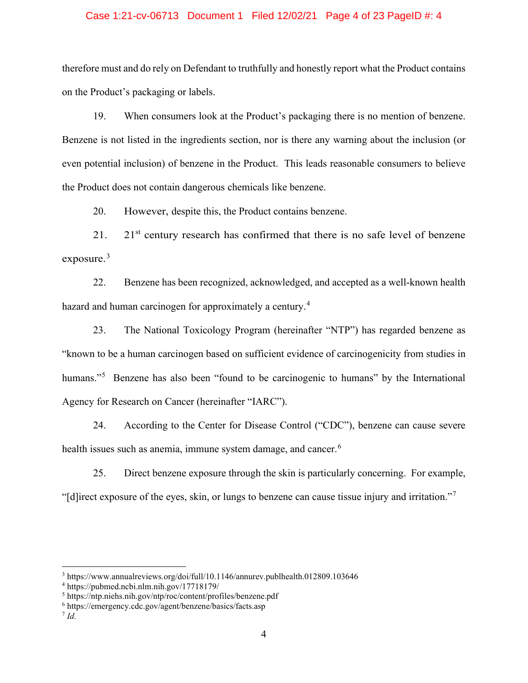# Case 1:21-cv-06713 Document 1 Filed 12/02/21 Page 4 of 23 PageID #: 4

therefore must and do rely on Defendant to truthfully and honestly report what the Product contains on the Product's packaging or labels.

19. When consumers look at the Product's packaging there is no mention of benzene. Benzene is not listed in the ingredients section, nor is there any warning about the inclusion (or even potential inclusion) of benzene in the Product. This leads reasonable consumers to believe the Product does not contain dangerous chemicals like benzene.

20. However, despite this, the Product contains benzene.

21. 21 $\mathrm{s}$ <sup>1</sup> century research has confirmed that there is no safe level of benzene exposure. $3$ 

22. Benzene has been recognized, acknowledged, and accepted as a well-known health hazard and human carcinogen for approximately a century.<sup>[4](#page-3-1)</sup>

23. The National Toxicology Program (hereinafter "NTP") has regarded benzene as "known to be a human carcinogen based on sufficient evidence of carcinogenicity from studies in humans."<sup>[5](#page-3-2)</sup> Benzene has also been "found to be carcinogenic to humans" by the International Agency for Research on Cancer (hereinafter "IARC").

24. According to the Center for Disease Control ("CDC"), benzene can cause severe health issues such as anemia, immune system damage, and cancer.<sup>[6](#page-3-3)</sup>

25. Direct benzene exposure through the skin is particularly concerning. For example, "[d]irect exposure of the eyes, skin, or lungs to benzene can cause tissue injury and irritation."[7](#page-3-4)

<span id="page-3-0"></span><sup>3</sup> https://www.annualreviews.org/doi/full/10.1146/annurev.publhealth.012809.103646

<span id="page-3-1"></span><sup>4</sup> https://pubmed.ncbi.nlm.nih.gov/17718179/

<span id="page-3-2"></span><sup>5</sup> https://ntp.niehs.nih.gov/ntp/roc/content/profiles/benzene.pdf

<span id="page-3-3"></span><sup>6</sup> https://emergency.cdc.gov/agent/benzene/basics/facts.asp

<span id="page-3-4"></span><sup>7</sup> *Id.*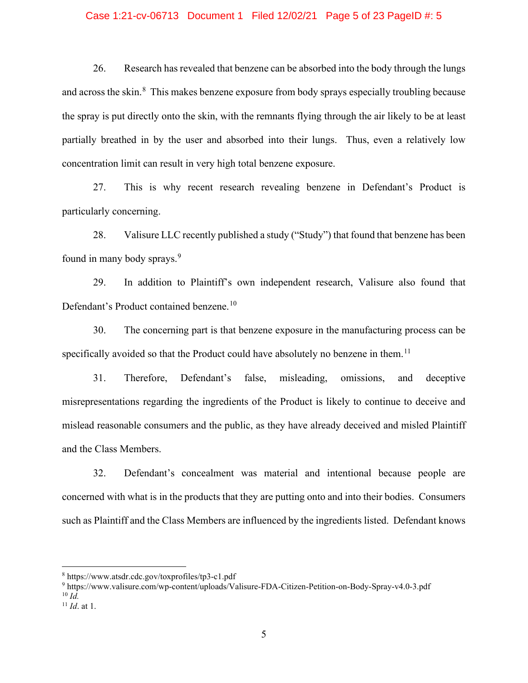# Case 1:21-cv-06713 Document 1 Filed 12/02/21 Page 5 of 23 PageID #: 5

26. Research has revealed that benzene can be absorbed into the body through the lungs and across the skin.<sup>[8](#page-4-0)</sup> This makes benzene exposure from body sprays especially troubling because the spray is put directly onto the skin, with the remnants flying through the air likely to be at least partially breathed in by the user and absorbed into their lungs. Thus, even a relatively low concentration limit can result in very high total benzene exposure.

27. This is why recent research revealing benzene in Defendant's Product is particularly concerning.

28. Valisure LLC recently published a study ("Study") that found that benzene has been found in many body sprays.<sup>[9](#page-4-1)</sup>

29. In addition to Plaintiff's own independent research, Valisure also found that Defendant's Product contained benzene.<sup>[10](#page-4-2)</sup>

30. The concerning part is that benzene exposure in the manufacturing process can be specifically avoided so that the Product could have absolutely no benzene in them.<sup>[11](#page-4-3)</sup>

31. Therefore, Defendant's false, misleading, omissions, and deceptive misrepresentations regarding the ingredients of the Product is likely to continue to deceive and mislead reasonable consumers and the public, as they have already deceived and misled Plaintiff and the Class Members.

32. Defendant's concealment was material and intentional because people are concerned with what is in the products that they are putting onto and into their bodies. Consumers such as Plaintiff and the Class Members are influenced by the ingredients listed. Defendant knows

<span id="page-4-1"></span><sup>9</sup> https://www.valisure.com/wp-content/uploads/Valisure-FDA-Citizen-Petition-on-Body-Spray-v4.0-3.pdf  $^{10}$  *Id.* 

<span id="page-4-0"></span><sup>8</sup> https://www.atsdr.cdc.gov/toxprofiles/tp3-c1.pdf

<span id="page-4-3"></span><span id="page-4-2"></span><sup>11</sup> *Id*. at 1.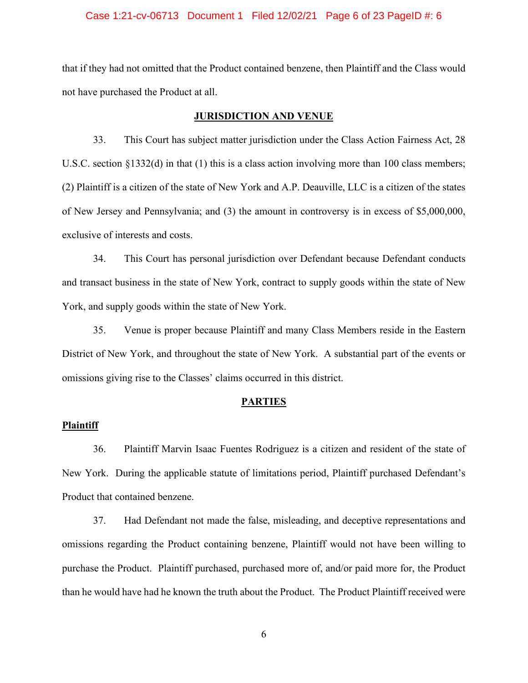## Case 1:21-cv-06713 Document 1 Filed 12/02/21 Page 6 of 23 PageID #: 6

that if they had not omitted that the Product contained benzene, then Plaintiff and the Class would not have purchased the Product at all.

# **JURISDICTION AND VENUE**

33. This Court has subject matter jurisdiction under the Class Action Fairness Act, 28 U.S.C. section §1332(d) in that (1) this is a class action involving more than 100 class members; (2) Plaintiff is a citizen of the state of New York and A.P. Deauville, LLC is a citizen of the states of New Jersey and Pennsylvania; and (3) the amount in controversy is in excess of \$5,000,000, exclusive of interests and costs.

34. This Court has personal jurisdiction over Defendant because Defendant conducts and transact business in the state of New York, contract to supply goods within the state of New York, and supply goods within the state of New York.

35. Venue is proper because Plaintiff and many Class Members reside in the Eastern District of New York, and throughout the state of New York. A substantial part of the events or omissions giving rise to the Classes' claims occurred in this district.

#### **PARTIES**

#### **Plaintiff**

36. Plaintiff Marvin Isaac Fuentes Rodriguez is a citizen and resident of the state of New York. During the applicable statute of limitations period, Plaintiff purchased Defendant's Product that contained benzene.

37. Had Defendant not made the false, misleading, and deceptive representations and omissions regarding the Product containing benzene, Plaintiff would not have been willing to purchase the Product. Plaintiff purchased, purchased more of, and/or paid more for, the Product than he would have had he known the truth about the Product. The Product Plaintiff received were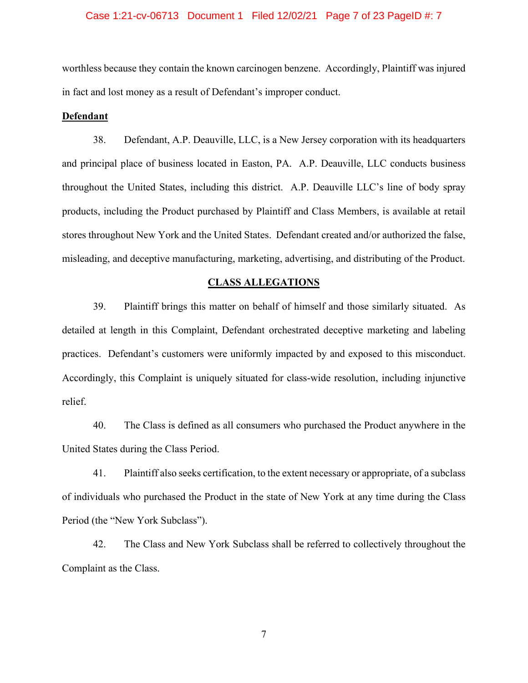# Case 1:21-cv-06713 Document 1 Filed 12/02/21 Page 7 of 23 PageID #: 7

worthless because they contain the known carcinogen benzene. Accordingly, Plaintiff was injured in fact and lost money as a result of Defendant's improper conduct.

#### **Defendant**

38. Defendant, A.P. Deauville, LLC, is a New Jersey corporation with its headquarters and principal place of business located in Easton, PA. A.P. Deauville, LLC conducts business throughout the United States, including this district. A.P. Deauville LLC's line of body spray products, including the Product purchased by Plaintiff and Class Members, is available at retail stores throughout New York and the United States. Defendant created and/or authorized the false, misleading, and deceptive manufacturing, marketing, advertising, and distributing of the Product.

#### **CLASS ALLEGATIONS**

39. Plaintiff brings this matter on behalf of himself and those similarly situated. As detailed at length in this Complaint, Defendant orchestrated deceptive marketing and labeling practices. Defendant's customers were uniformly impacted by and exposed to this misconduct. Accordingly, this Complaint is uniquely situated for class-wide resolution, including injunctive relief.

40. The Class is defined as all consumers who purchased the Product anywhere in the United States during the Class Period.

41. Plaintiff also seeks certification, to the extent necessary or appropriate, of a subclass of individuals who purchased the Product in the state of New York at any time during the Class Period (the "New York Subclass").

42. The Class and New York Subclass shall be referred to collectively throughout the Complaint as the Class.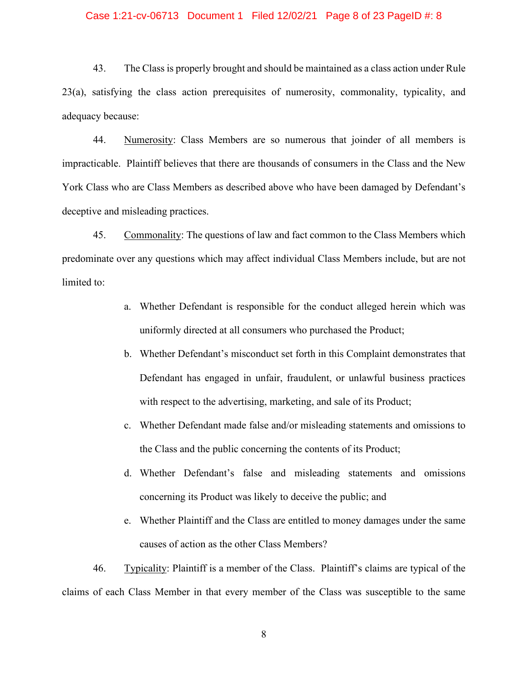# Case 1:21-cv-06713 Document 1 Filed 12/02/21 Page 8 of 23 PageID #: 8

43. The Class is properly brought and should be maintained as a class action under Rule 23(a), satisfying the class action prerequisites of numerosity, commonality, typicality, and adequacy because:

44. Numerosity: Class Members are so numerous that joinder of all members is impracticable. Plaintiff believes that there are thousands of consumers in the Class and the New York Class who are Class Members as described above who have been damaged by Defendant's deceptive and misleading practices.

45. Commonality: The questions of law and fact common to the Class Members which predominate over any questions which may affect individual Class Members include, but are not limited to:

- a. Whether Defendant is responsible for the conduct alleged herein which was uniformly directed at all consumers who purchased the Product;
- b. Whether Defendant's misconduct set forth in this Complaint demonstrates that Defendant has engaged in unfair, fraudulent, or unlawful business practices with respect to the advertising, marketing, and sale of its Product;
- c. Whether Defendant made false and/or misleading statements and omissions to the Class and the public concerning the contents of its Product;
- d. Whether Defendant's false and misleading statements and omissions concerning its Product was likely to deceive the public; and
- e. Whether Plaintiff and the Class are entitled to money damages under the same causes of action as the other Class Members?

46. Typicality: Plaintiff is a member of the Class. Plaintiff's claims are typical of the claims of each Class Member in that every member of the Class was susceptible to the same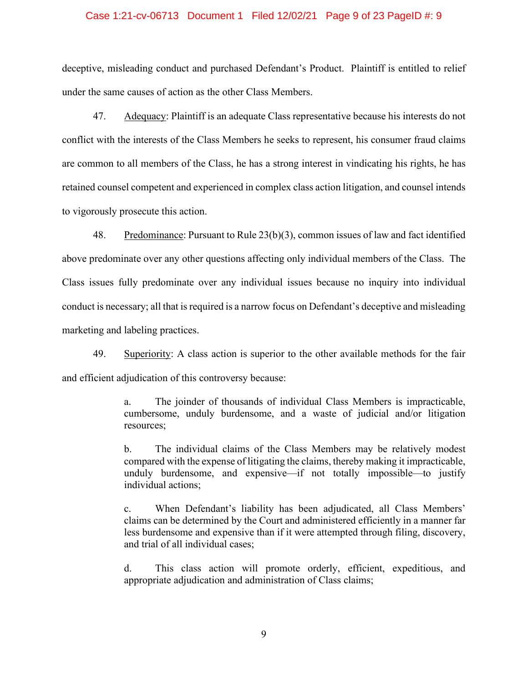## Case 1:21-cv-06713 Document 1 Filed 12/02/21 Page 9 of 23 PageID #: 9

deceptive, misleading conduct and purchased Defendant's Product. Plaintiff is entitled to relief under the same causes of action as the other Class Members.

47. Adequacy: Plaintiff is an adequate Class representative because his interests do not conflict with the interests of the Class Members he seeks to represent, his consumer fraud claims are common to all members of the Class, he has a strong interest in vindicating his rights, he has retained counsel competent and experienced in complex class action litigation, and counsel intends to vigorously prosecute this action.

48. Predominance: Pursuant to Rule 23(b)(3), common issues of law and fact identified above predominate over any other questions affecting only individual members of the Class. The Class issues fully predominate over any individual issues because no inquiry into individual conduct is necessary; all that is required is a narrow focus on Defendant's deceptive and misleading marketing and labeling practices.

49. Superiority: A class action is superior to the other available methods for the fair and efficient adjudication of this controversy because:

> a. The joinder of thousands of individual Class Members is impracticable, cumbersome, unduly burdensome, and a waste of judicial and/or litigation resources;

> b. The individual claims of the Class Members may be relatively modest compared with the expense of litigating the claims, thereby making it impracticable, unduly burdensome, and expensive—if not totally impossible—to justify individual actions;

> c. When Defendant's liability has been adjudicated, all Class Members' claims can be determined by the Court and administered efficiently in a manner far less burdensome and expensive than if it were attempted through filing, discovery, and trial of all individual cases;

> d. This class action will promote orderly, efficient, expeditious, and appropriate adjudication and administration of Class claims;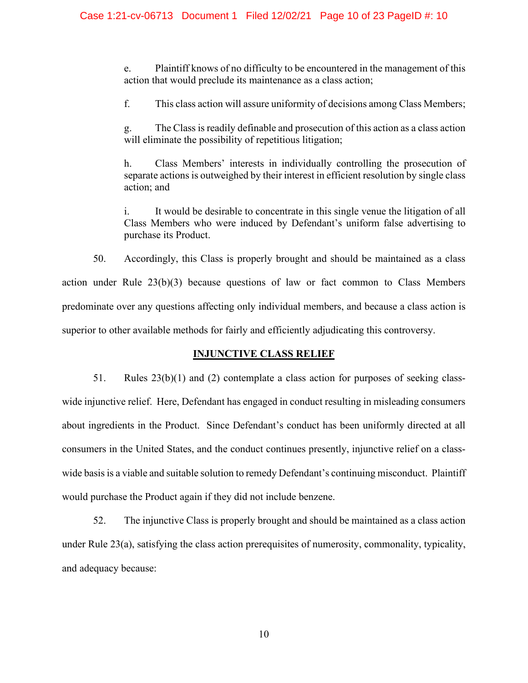e. Plaintiff knows of no difficulty to be encountered in the management of this action that would preclude its maintenance as a class action;

f. This class action will assure uniformity of decisions among Class Members;

g. The Class is readily definable and prosecution of this action as a class action will eliminate the possibility of repetitious litigation;

h. Class Members' interests in individually controlling the prosecution of separate actions is outweighed by their interest in efficient resolution by single class action; and

i. It would be desirable to concentrate in this single venue the litigation of all Class Members who were induced by Defendant's uniform false advertising to purchase its Product.

50. Accordingly, this Class is properly brought and should be maintained as a class action under Rule 23(b)(3) because questions of law or fact common to Class Members predominate over any questions affecting only individual members, and because a class action is superior to other available methods for fairly and efficiently adjudicating this controversy.

# **INJUNCTIVE CLASS RELIEF**

51. Rules  $23(b)(1)$  and (2) contemplate a class action for purposes of seeking classwide injunctive relief. Here, Defendant has engaged in conduct resulting in misleading consumers about ingredients in the Product. Since Defendant's conduct has been uniformly directed at all consumers in the United States, and the conduct continues presently, injunctive relief on a classwide basis is a viable and suitable solution to remedy Defendant's continuing misconduct. Plaintiff would purchase the Product again if they did not include benzene.

52. The injunctive Class is properly brought and should be maintained as a class action under Rule 23(a), satisfying the class action prerequisites of numerosity, commonality, typicality, and adequacy because: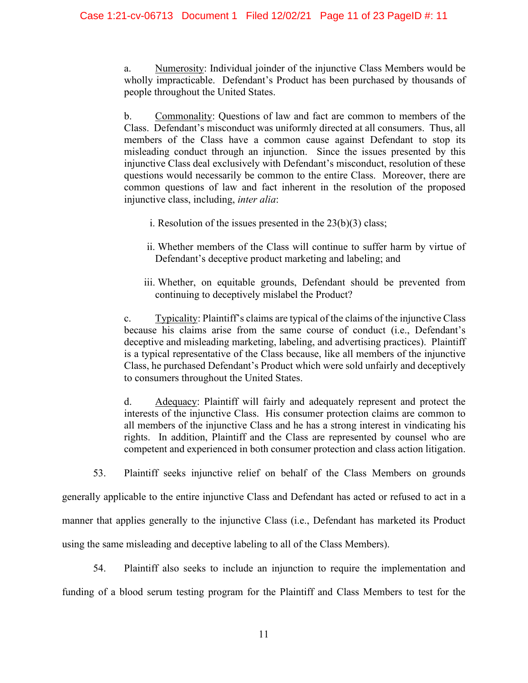a. Numerosity: Individual joinder of the injunctive Class Members would be wholly impracticable. Defendant's Product has been purchased by thousands of people throughout the United States.

b. Commonality: Questions of law and fact are common to members of the Class. Defendant's misconduct was uniformly directed at all consumers. Thus, all members of the Class have a common cause against Defendant to stop its misleading conduct through an injunction. Since the issues presented by this injunctive Class deal exclusively with Defendant's misconduct, resolution of these questions would necessarily be common to the entire Class. Moreover, there are common questions of law and fact inherent in the resolution of the proposed injunctive class, including, *inter alia*:

- i. Resolution of the issues presented in the  $23(b)(3)$  class;
- ii. Whether members of the Class will continue to suffer harm by virtue of Defendant's deceptive product marketing and labeling; and
- iii. Whether, on equitable grounds, Defendant should be prevented from continuing to deceptively mislabel the Product?

c. Typicality: Plaintiff's claims are typical of the claims of the injunctive Class because his claims arise from the same course of conduct (i.e., Defendant's deceptive and misleading marketing, labeling, and advertising practices). Plaintiff is a typical representative of the Class because, like all members of the injunctive Class, he purchased Defendant's Product which were sold unfairly and deceptively to consumers throughout the United States.

d. Adequacy: Plaintiff will fairly and adequately represent and protect the interests of the injunctive Class. His consumer protection claims are common to all members of the injunctive Class and he has a strong interest in vindicating his rights. In addition, Plaintiff and the Class are represented by counsel who are competent and experienced in both consumer protection and class action litigation.

53. Plaintiff seeks injunctive relief on behalf of the Class Members on grounds

generally applicable to the entire injunctive Class and Defendant has acted or refused to act in a manner that applies generally to the injunctive Class (i.e., Defendant has marketed its Product using the same misleading and deceptive labeling to all of the Class Members).

54. Plaintiff also seeks to include an injunction to require the implementation and funding of a blood serum testing program for the Plaintiff and Class Members to test for the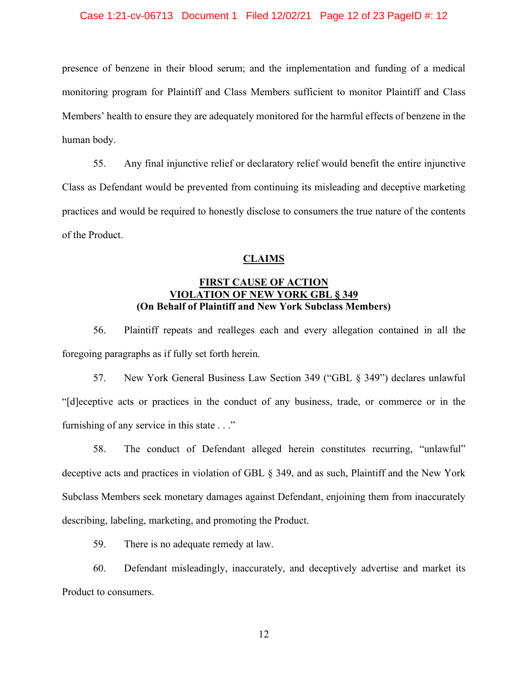# Case 1:21-cv-06713 Document 1 Filed 12/02/21 Page 12 of 23 PageID #: 12

presence of benzene in their blood serum; and the implementation and funding of a medical monitoring program for Plaintiff and Class Members sufficient to monitor Plaintiff and Class Members' health to ensure they are adequately monitored for the harmful effects of benzene in the human body.

55. Any final injunctive relief or declaratory relief would benefit the entire injunctive Class as Defendant would be prevented from continuing its misleading and deceptive marketing practices and would be required to honestly disclose to consumers the true nature of the contents of the Product.

# **CLAIMS**

# **FIRST CAUSE OF ACTION VIOLATION OF NEW YORK GBL § 349 (On Behalf of Plaintiff and New York Subclass Members)**

56. Plaintiff repeats and realleges each and every allegation contained in all the foregoing paragraphs as if fully set forth herein.

57. New York General Business Law Section 349 ("GBL § 349") declares unlawful "[d]eceptive acts or practices in the conduct of any business, trade, or commerce or in the furnishing of any service in this state . . ."

58. The conduct of Defendant alleged herein constitutes recurring, "unlawful" deceptive acts and practices in violation of GBL § 349, and as such, Plaintiff and the New York Subclass Members seek monetary damages against Defendant, enjoining them from inaccurately describing, labeling, marketing, and promoting the Product.

59. There is no adequate remedy at law.

60. Defendant misleadingly, inaccurately, and deceptively advertise and market its Product to consumers.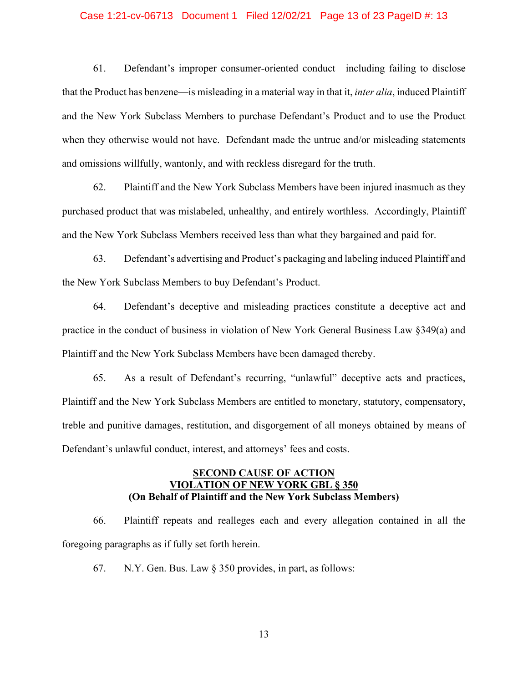#### Case 1:21-cv-06713 Document 1 Filed 12/02/21 Page 13 of 23 PageID #: 13

61. Defendant's improper consumer-oriented conduct—including failing to disclose that the Product has benzene—is misleading in a material way in that it, *inter alia*, induced Plaintiff and the New York Subclass Members to purchase Defendant's Product and to use the Product when they otherwise would not have. Defendant made the untrue and/or misleading statements and omissions willfully, wantonly, and with reckless disregard for the truth.

62. Plaintiff and the New York Subclass Members have been injured inasmuch as they purchased product that was mislabeled, unhealthy, and entirely worthless. Accordingly, Plaintiff and the New York Subclass Members received less than what they bargained and paid for.

63. Defendant's advertising and Product's packaging and labeling induced Plaintiff and the New York Subclass Members to buy Defendant's Product.

64. Defendant's deceptive and misleading practices constitute a deceptive act and practice in the conduct of business in violation of New York General Business Law §349(a) and Plaintiff and the New York Subclass Members have been damaged thereby.

65. As a result of Defendant's recurring, "unlawful" deceptive acts and practices, Plaintiff and the New York Subclass Members are entitled to monetary, statutory, compensatory, treble and punitive damages, restitution, and disgorgement of all moneys obtained by means of Defendant's unlawful conduct, interest, and attorneys' fees and costs.

# **SECOND CAUSE OF ACTION VIOLATION OF NEW YORK GBL § 350 (On Behalf of Plaintiff and the New York Subclass Members)**

66. Plaintiff repeats and realleges each and every allegation contained in all the foregoing paragraphs as if fully set forth herein.

67. N.Y. Gen. Bus. Law § 350 provides, in part, as follows: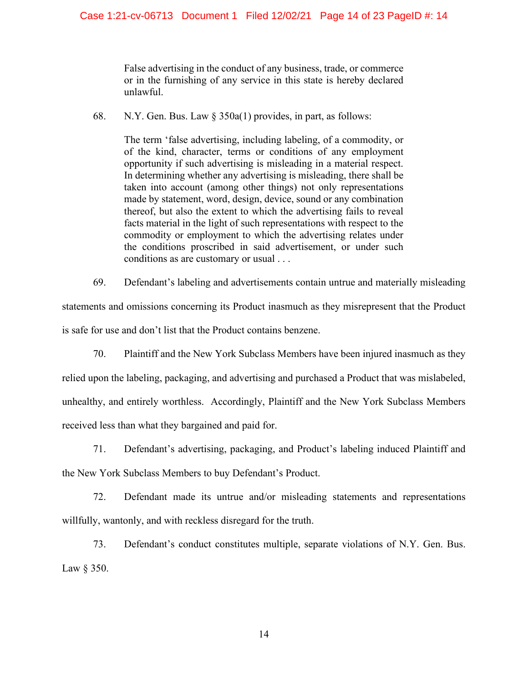False advertising in the conduct of any business, trade, or commerce or in the furnishing of any service in this state is hereby declared unlawful.

68. N.Y. Gen. Bus. Law § 350a(1) provides, in part, as follows:

The term 'false advertising, including labeling, of a commodity, or of the kind, character, terms or conditions of any employment opportunity if such advertising is misleading in a material respect. In determining whether any advertising is misleading, there shall be taken into account (among other things) not only representations made by statement, word, design, device, sound or any combination thereof, but also the extent to which the advertising fails to reveal facts material in the light of such representations with respect to the commodity or employment to which the advertising relates under the conditions proscribed in said advertisement, or under such conditions as are customary or usual . . .

69. Defendant's labeling and advertisements contain untrue and materially misleading statements and omissions concerning its Product inasmuch as they misrepresent that the Product is safe for use and don't list that the Product contains benzene.

70. Plaintiff and the New York Subclass Members have been injured inasmuch as they relied upon the labeling, packaging, and advertising and purchased a Product that was mislabeled, unhealthy, and entirely worthless. Accordingly, Plaintiff and the New York Subclass Members received less than what they bargained and paid for.

71. Defendant's advertising, packaging, and Product's labeling induced Plaintiff and the New York Subclass Members to buy Defendant's Product.

72. Defendant made its untrue and/or misleading statements and representations willfully, wantonly, and with reckless disregard for the truth.

73. Defendant's conduct constitutes multiple, separate violations of N.Y. Gen. Bus. Law § 350.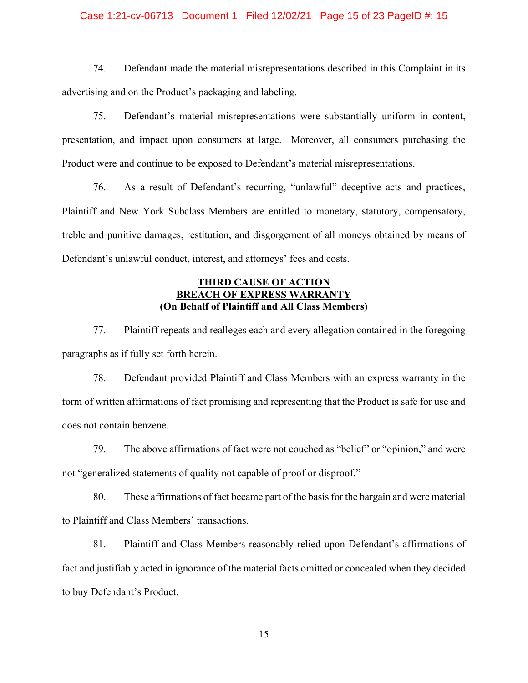# Case 1:21-cv-06713 Document 1 Filed 12/02/21 Page 15 of 23 PageID #: 15

74. Defendant made the material misrepresentations described in this Complaint in its advertising and on the Product's packaging and labeling.

75. Defendant's material misrepresentations were substantially uniform in content, presentation, and impact upon consumers at large. Moreover, all consumers purchasing the Product were and continue to be exposed to Defendant's material misrepresentations.

76. As a result of Defendant's recurring, "unlawful" deceptive acts and practices, Plaintiff and New York Subclass Members are entitled to monetary, statutory, compensatory, treble and punitive damages, restitution, and disgorgement of all moneys obtained by means of Defendant's unlawful conduct, interest, and attorneys' fees and costs.

# **THIRD CAUSE OF ACTION BREACH OF EXPRESS WARRANT (On Behalf of Plaintiff and All Class Members)**

77. Plaintiff repeats and realleges each and every allegation contained in the foregoing paragraphs as if fully set forth herein.

78. Defendant provided Plaintiff and Class Members with an express warranty in the form of written affirmations of fact promising and representing that the Product is safe for use and does not contain benzene.

79. The above affirmations of fact were not couched as "belief" or "opinion," and were not "generalized statements of quality not capable of proof or disproof."

80. These affirmations of fact became part of the basis for the bargain and were material to Plaintiff and Class Members' transactions.

81. Plaintiff and Class Members reasonably relied upon Defendant's affirmations of fact and justifiably acted in ignorance of the material facts omitted or concealed when they decided to buy Defendant's Product.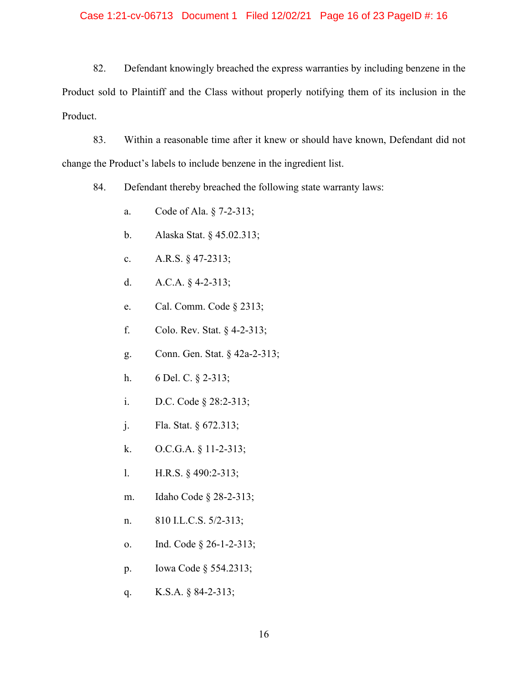# Case 1:21-cv-06713 Document 1 Filed 12/02/21 Page 16 of 23 PageID #: 16

82. Defendant knowingly breached the express warranties by including benzene in the Product sold to Plaintiff and the Class without properly notifying them of its inclusion in the Product.

83. Within a reasonable time after it knew or should have known, Defendant did not change the Product's labels to include benzene in the ingredient list.

84. Defendant thereby breached the following state warranty laws:

- a. Code of Ala. § 7-2-313;
- b. Alaska Stat. § 45.02.313;
- c. A.R.S. § 47-2313;
- d. A.C.A. § 4-2-313;
- e. Cal. Comm. Code § 2313;
- f. Colo. Rev. Stat. § 4-2-313;
- g. Conn. Gen. Stat. § 42a-2-313;
- h. 6 Del. C. § 2-313;
- i. D.C. Code § 28:2-313;
- j. Fla. Stat. § 672.313;
- k. O.C.G.A. § 11-2-313;
- l. H.R.S. § 490:2-313;
- m. Idaho Code § 28-2-313;
- n. 810 I.L.C.S. 5/2-313;
- o. Ind. Code § 26-1-2-313;
- p. Iowa Code § 554.2313;
- q. K.S.A. § 84-2-313;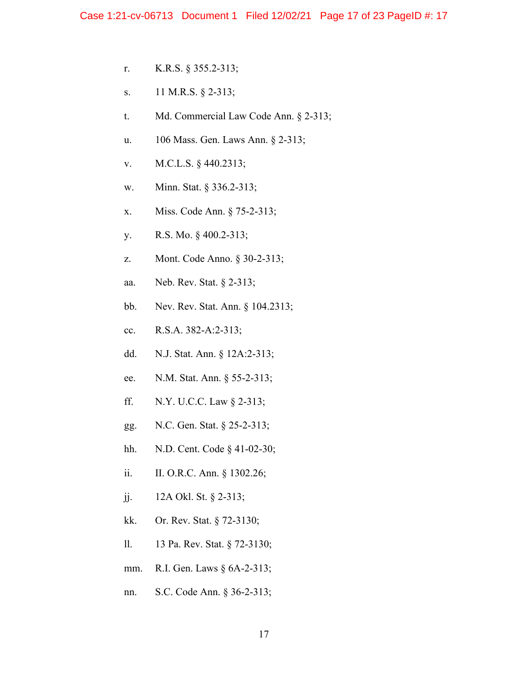- r. K.R.S. § 355.2-313;
- s. 11 M.R.S. § 2-313;
- t. Md. Commercial Law Code Ann. § 2-313;
- u. 106 Mass. Gen. Laws Ann. § 2-313;
- v. M.C.L.S. § 440.2313;
- w. Minn. Stat. § 336.2-313;
- x. Miss. Code Ann. § 75-2-313;
- y. R.S. Mo. § 400.2-313;
- z. Mont. Code Anno. § 30-2-313;
- aa. Neb. Rev. Stat. § 2-313;
- bb. Nev. Rev. Stat. Ann. § 104.2313;
- cc. R.S.A. 382-A:2-313;
- dd. N.J. Stat. Ann. § 12A:2-313;
- ee. N.M. Stat. Ann. § 55-2-313;
- ff. N.Y. U.C.C. Law § 2-313;
- gg. N.C. Gen. Stat. § 25-2-313;
- hh. N.D. Cent. Code § 41-02-30;
- ii. II. O.R.C. Ann. § 1302.26;
- jj. 12A Okl. St. § 2-313;
- kk. Or. Rev. Stat. § 72-3130;
- ll. 13 Pa. Rev. Stat. § 72-3130;
- mm. R.I. Gen. Laws § 6A-2-313;
- nn. S.C. Code Ann. § 36-2-313;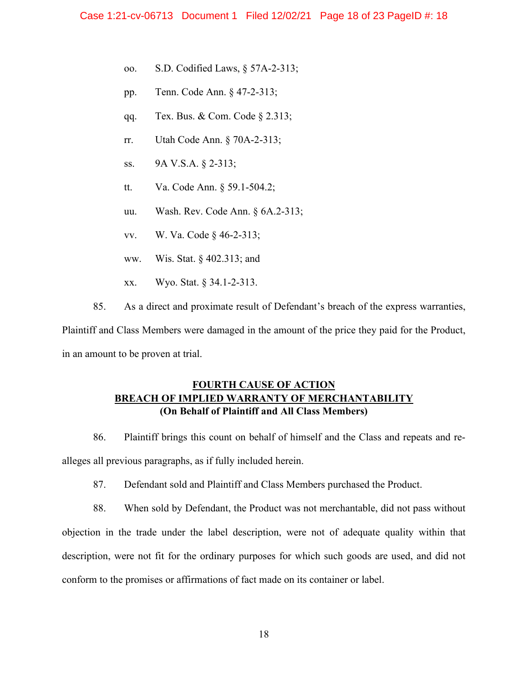- oo. S.D. Codified Laws, § 57A-2-313;
- pp. Tenn. Code Ann. § 47-2-313;
- qq. Tex. Bus. & Com. Code § 2.313;
- rr. Utah Code Ann. § 70A-2-313;
- ss. 9A V.S.A. § 2-313;
- tt. Va. Code Ann. § 59.1-504.2;
- uu. Wash. Rev. Code Ann. § 6A.2-313;
- vv. W. Va. Code § 46-2-313;
- ww. Wis. Stat. § 402.313; and
- xx. Wyo. Stat. § 34.1-2-313.
- 85. As a direct and proximate result of Defendant's breach of the express warranties,

Plaintiff and Class Members were damaged in the amount of the price they paid for the Product, in an amount to be proven at trial.

# **FOURTH CAUSE OF ACTION BREACH OF IMPLIED WARRANTY OF MERCHANTABILITY (On Behalf of Plaintiff and All Class Members)**

86. Plaintiff brings this count on behalf of himself and the Class and repeats and realleges all previous paragraphs, as if fully included herein.

87. Defendant sold and Plaintiff and Class Members purchased the Product.

88. When sold by Defendant, the Product was not merchantable, did not pass without objection in the trade under the label description, were not of adequate quality within that description, were not fit for the ordinary purposes for which such goods are used, and did not conform to the promises or affirmations of fact made on its container or label.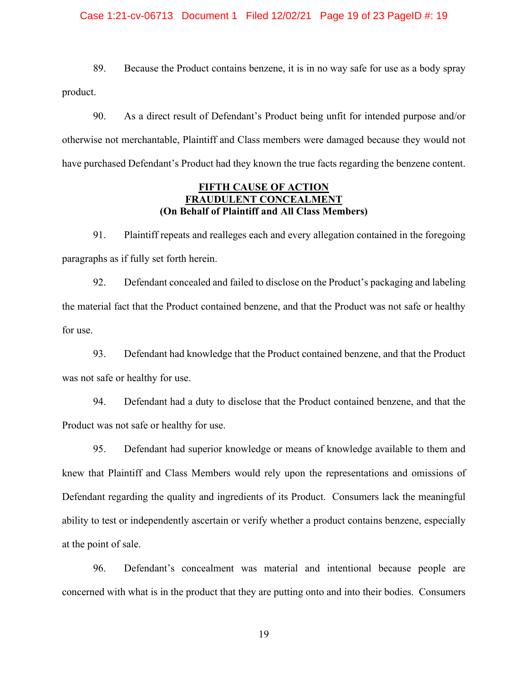# Case 1:21-cv-06713 Document 1 Filed 12/02/21 Page 19 of 23 PageID #: 19

89. Because the Product contains benzene, it is in no way safe for use as a body spray product.

90. As a direct result of Defendant's Product being unfit for intended purpose and/or otherwise not merchantable, Plaintiff and Class members were damaged because they would not have purchased Defendant's Product had they known the true facts regarding the benzene content.

# **FIFTH CAUSE OF ACTION FRAUDULENT CONCEALMENT (On Behalf of Plaintiff and All Class Members)**

91. Plaintiff repeats and realleges each and every allegation contained in the foregoing paragraphs as if fully set forth herein.

92. Defendant concealed and failed to disclose on the Product's packaging and labeling the material fact that the Product contained benzene, and that the Product was not safe or healthy for use.

93. Defendant had knowledge that the Product contained benzene, and that the Product was not safe or healthy for use.

94. Defendant had a duty to disclose that the Product contained benzene, and that the Product was not safe or healthy for use.

95. Defendant had superior knowledge or means of knowledge available to them and knew that Plaintiff and Class Members would rely upon the representations and omissions of Defendant regarding the quality and ingredients of its Product. Consumers lack the meaningful ability to test or independently ascertain or verify whether a product contains benzene, especially at the point of sale.

96. Defendant's concealment was material and intentional because people are concerned with what is in the product that they are putting onto and into their bodies. Consumers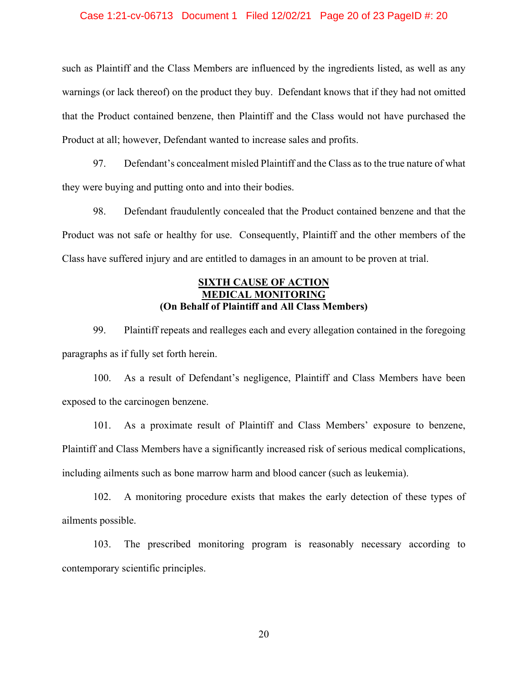## Case 1:21-cv-06713 Document 1 Filed 12/02/21 Page 20 of 23 PageID #: 20

such as Plaintiff and the Class Members are influenced by the ingredients listed, as well as any warnings (or lack thereof) on the product they buy. Defendant knows that if they had not omitted that the Product contained benzene, then Plaintiff and the Class would not have purchased the Product at all; however, Defendant wanted to increase sales and profits.

97. Defendant's concealment misled Plaintiff and the Class as to the true nature of what they were buying and putting onto and into their bodies.

98. Defendant fraudulently concealed that the Product contained benzene and that the Product was not safe or healthy for use. Consequently, Plaintiff and the other members of the Class have suffered injury and are entitled to damages in an amount to be proven at trial.

# **SIXTH CAUSE OF ACTION MEDICAL MONITORING (On Behalf of Plaintiff and All Class Members)**

99. Plaintiff repeats and realleges each and every allegation contained in the foregoing paragraphs as if fully set forth herein.

100. As a result of Defendant's negligence, Plaintiff and Class Members have been exposed to the carcinogen benzene.

101. As a proximate result of Plaintiff and Class Members' exposure to benzene, Plaintiff and Class Members have a significantly increased risk of serious medical complications, including ailments such as bone marrow harm and blood cancer (such as leukemia).

102. A monitoring procedure exists that makes the early detection of these types of ailments possible.

103. The prescribed monitoring program is reasonably necessary according to contemporary scientific principles.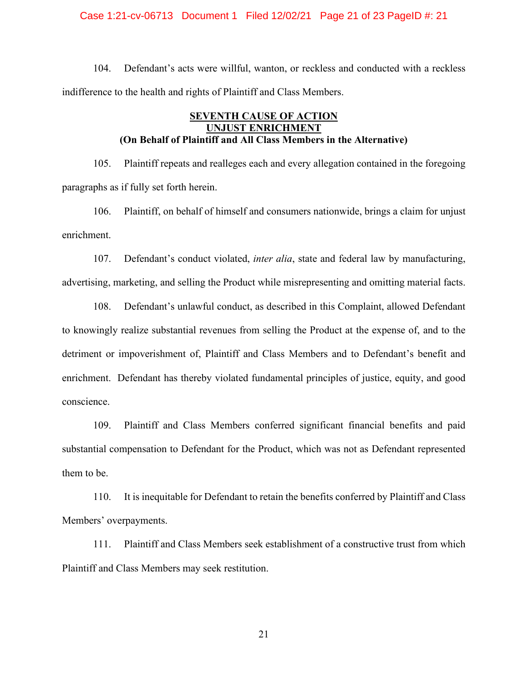#### Case 1:21-cv-06713 Document 1 Filed 12/02/21 Page 21 of 23 PageID #: 21

104. Defendant's acts were willful, wanton, or reckless and conducted with a reckless indifference to the health and rights of Plaintiff and Class Members.

# **SEVENTH CAUSE OF ACTION UNJUST ENRICHMENT (On Behalf of Plaintiff and All Class Members in the Alternative)**

105. Plaintiff repeats and realleges each and every allegation contained in the foregoing paragraphs as if fully set forth herein.

106. Plaintiff, on behalf of himself and consumers nationwide, brings a claim for unjust enrichment.

107. Defendant's conduct violated, *inter alia*, state and federal law by manufacturing, advertising, marketing, and selling the Product while misrepresenting and omitting material facts.

108. Defendant's unlawful conduct, as described in this Complaint, allowed Defendant to knowingly realize substantial revenues from selling the Product at the expense of, and to the detriment or impoverishment of, Plaintiff and Class Members and to Defendant's benefit and enrichment. Defendant has thereby violated fundamental principles of justice, equity, and good conscience.

109. Plaintiff and Class Members conferred significant financial benefits and paid substantial compensation to Defendant for the Product, which was not as Defendant represented them to be.

110. It is inequitable for Defendant to retain the benefits conferred by Plaintiff and Class Members' overpayments.

111. Plaintiff and Class Members seek establishment of a constructive trust from which Plaintiff and Class Members may seek restitution.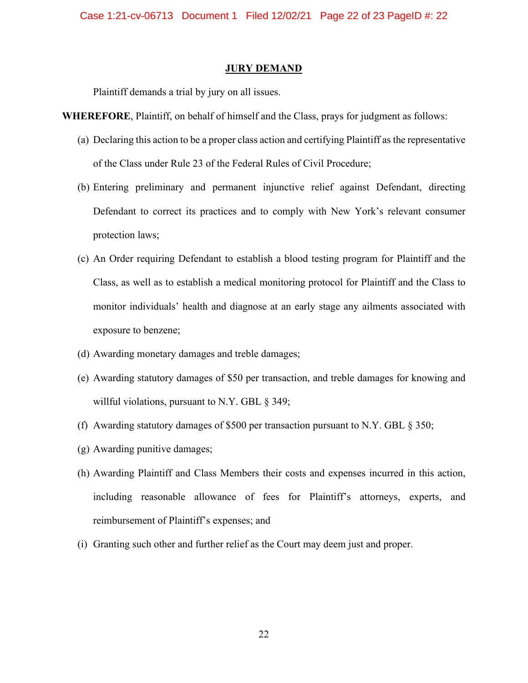Case 1:21-cv-06713 Document 1 Filed 12/02/21 Page 22 of 23 PageID #: 22

#### **JURY DEMAND**

Plaintiff demands a trial by jury on all issues.

**WHEREFORE**, Plaintiff, on behalf of himself and the Class, prays for judgment as follows:

- (a) Declaring this action to be a proper class action and certifying Plaintiff as the representative of the Class under Rule 23 of the Federal Rules of Civil Procedure;
- (b) Entering preliminary and permanent injunctive relief against Defendant, directing Defendant to correct its practices and to comply with New York's relevant consumer protection laws;
- (c) An Order requiring Defendant to establish a blood testing program for Plaintiff and the Class, as well as to establish a medical monitoring protocol for Plaintiff and the Class to monitor individuals' health and diagnose at an early stage any ailments associated with exposure to benzene;
- (d) Awarding monetary damages and treble damages;
- (e) Awarding statutory damages of \$50 per transaction, and treble damages for knowing and willful violations, pursuant to N.Y. GBL § 349;
- (f) Awarding statutory damages of \$500 per transaction pursuant to N.Y. GBL § 350;
- (g) Awarding punitive damages;
- (h) Awarding Plaintiff and Class Members their costs and expenses incurred in this action, including reasonable allowance of fees for Plaintiff's attorneys, experts, and reimbursement of Plaintiff's expenses; and
- (i) Granting such other and further relief as the Court may deem just and proper.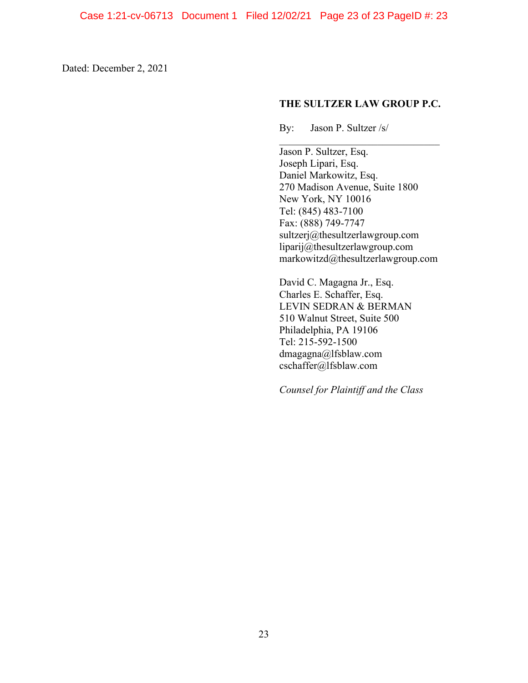Dated: December 2, 2021

# **THE SULTZER LAW GROUP P.C.**

By: Jason P. Sultzer /s/

 $\mathcal{L}_\text{max}$  , where  $\mathcal{L}_\text{max}$  and  $\mathcal{L}_\text{max}$ Jason P. Sultzer, Esq. Joseph Lipari, Esq. Daniel Markowitz, Esq. 270 Madison Avenue, Suite 1800 New York, NY 10016 Tel: (845) 483-7100 Fax: (888) 749-7747 sultzerj@thesultzerlawgroup.com liparij@thesultzerlawgroup.com markowitzd@thesultzerlawgroup.com

David C. Magagna Jr., Esq. Charles E. Schaffer, Esq. LEVIN SEDRAN & BERMAN 510 Walnut Street, Suite 500 Philadelphia, PA 19106 Tel: 215-592-1500 dmagagna@lfsblaw.com cschaffer@lfsblaw.com

*Counsel for Plaintiff and the Class*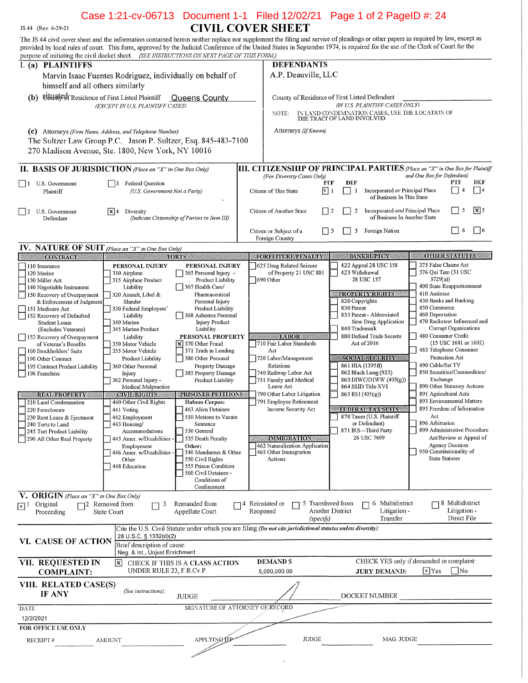# Case 1:21-cv-06713 Document 1-1 Filed 12/02/21 Page 1 of 2 PageID #: 24<br>CIVIL COVER SHEET

The JS 44 civil cover sheet and the information contained herein neither replace nor supplement the filing and service of pleadings or other papers as required by law, except as provided by local rules of court. This form,

JS 44 (Rev. 4-29-21)

| purpose of initiating the civil docket sheet. (SEE INSTRUCTIONS ON NEXT PAGE OF THIS FORM.) |                                     |                                                                                                                |                  |                                                                                                                   |                       |                             |                                                              |                                                         |                               |                       |
|---------------------------------------------------------------------------------------------|-------------------------------------|----------------------------------------------------------------------------------------------------------------|------------------|-------------------------------------------------------------------------------------------------------------------|-----------------------|-----------------------------|--------------------------------------------------------------|---------------------------------------------------------|-------------------------------|-----------------------|
| $\overline{I_{n}(a)}$<br><b>PLAINTIFFS</b>                                                  |                                     |                                                                                                                |                  | <b>DEFENDANTS</b>                                                                                                 |                       |                             |                                                              |                                                         |                               |                       |
| Marvin Isaac Fuentes Rodriguez, individually on behalf of                                   |                                     |                                                                                                                |                  | A.P. Deauville, LLC                                                                                               |                       |                             |                                                              |                                                         |                               |                       |
| himself and all others similarly                                                            |                                     |                                                                                                                |                  |                                                                                                                   |                       |                             |                                                              |                                                         |                               |                       |
| (b) Eisuated Residence of First Listed Plaintiff                                            |                                     |                                                                                                                |                  |                                                                                                                   |                       |                             |                                                              |                                                         |                               |                       |
|                                                                                             | (EXCEPT IN U.S. PLAINTIFF CASES)    | <b>Queens County</b>                                                                                           |                  | County of Residence of First Listed Defendant                                                                     |                       |                             | (IN U.S. PLAINTIFF CASES ONLY)                               |                                                         |                               |                       |
|                                                                                             |                                     |                                                                                                                |                  | NOTE:                                                                                                             |                       |                             | IN LAND CONDEMNATION CASES, USE THE LOCATION OF              |                                                         |                               |                       |
|                                                                                             |                                     |                                                                                                                |                  |                                                                                                                   |                       | THE TRACT OF LAND INVOLVED. |                                                              |                                                         |                               |                       |
| (c) Attorneys (Firm Name, Address, and Telephone Number)                                    |                                     |                                                                                                                |                  | Attorneys (If Known)                                                                                              |                       |                             |                                                              |                                                         |                               |                       |
| The Sultzer Law Group P.C. Jason P. Sultzer, Esq. 845-483-7100                              |                                     |                                                                                                                |                  |                                                                                                                   |                       |                             |                                                              |                                                         |                               |                       |
|                                                                                             |                                     |                                                                                                                |                  |                                                                                                                   |                       |                             |                                                              |                                                         |                               |                       |
| 270 Madison Avenue, Ste. 1800, New York, NY 10016                                           |                                     |                                                                                                                |                  |                                                                                                                   |                       |                             |                                                              |                                                         |                               |                       |
| <b>II. BASIS OF JURISDICTION</b> (Place an "X" in One Box Only)                             |                                     |                                                                                                                |                  | <b>III. CITIZENSHIP OF PRINCIPAL PARTIES</b> (Place an "X" in One Box for Plaintiff<br>(For Diversity Cases Only) |                       |                             |                                                              | and One Box for Defendant)                              |                               |                       |
| U.S. Government<br>$\Box$                                                                   | <b>Federal Question</b>             |                                                                                                                |                  |                                                                                                                   | PTF                   | DEF                         |                                                              |                                                         | PTF                           | DEF                   |
| Plaintiff                                                                                   | (U.S. Government Not a Party)       |                                                                                                                |                  | Citizen of This State                                                                                             | $\lceil x \rceil 1$   | 1                           | Incorporated or Principal Place<br>of Business In This State |                                                         | $\blacksquare$<br>4           | $\Box$ 4              |
|                                                                                             |                                     |                                                                                                                |                  |                                                                                                                   |                       |                             |                                                              |                                                         |                               |                       |
| U.S. Government<br> 12                                                                      | x 4<br>Diversity                    |                                                                                                                |                  | Citizen of Another State                                                                                          | $\lfloor$ $\rfloor$ 2 | $\overline{2}$              | Incorporated and Principal Place                             |                                                         | 5<br>$\overline{\phantom{a}}$ | $\sqrt{\mathbf{x}}$ 5 |
| Defendant                                                                                   |                                     | (Indicate Citizenship of Parties in Item III)                                                                  |                  |                                                                                                                   |                       |                             | of Business In Another State                                 |                                                         |                               |                       |
|                                                                                             |                                     |                                                                                                                |                  | Citizen or Subject of a                                                                                           | 3                     | 3                           | Foreign Nation                                               |                                                         | 6<br>$\vert$ $\vert$          | $ $ $ $ 6             |
|                                                                                             |                                     |                                                                                                                |                  | Foreign Country                                                                                                   |                       |                             |                                                              |                                                         |                               |                       |
| IV. NATURE OF SUIT (Place an "X" in One Box Only)                                           |                                     |                                                                                                                |                  |                                                                                                                   |                       |                             |                                                              |                                                         |                               |                       |
| <b>CONTRACT</b>                                                                             |                                     | <b>TORTS</b>                                                                                                   |                  | <b>FORFEITURE/PENALTY</b>                                                                                         |                       |                             | <b>BANKRUPTCY</b>                                            |                                                         | <b>OTHER STATUTES</b>         |                       |
| 110 Insurance                                                                               | PERSONAL INJURY                     | PERSONAL INJURY                                                                                                |                  | 625 Drug Related Seizure                                                                                          |                       |                             | 422 Appeal 28 USC 158                                        | 375 False Claims Act                                    |                               |                       |
| 120 Marine                                                                                  | 310 Airplane                        | 365 Personal Injury -                                                                                          |                  | of Property 21 USC 881                                                                                            |                       | 423 Withdrawal              |                                                              | 376 Qui Tam (31 USC                                     |                               |                       |
| 130 Miller Act                                                                              | 315 Airplane Product                | Product Liability                                                                                              |                  | 690 Other                                                                                                         |                       |                             | 28 USC 157                                                   | 3729(a)                                                 |                               |                       |
| 140 Negotiable Instrument                                                                   | Liability                           | 367 Health Care/                                                                                               |                  |                                                                                                                   |                       |                             |                                                              | 400 State Reapportionment                               |                               |                       |
| 150 Recovery of Overpayment                                                                 | 320 Assault, Libel &                | Pharmaceutical                                                                                                 |                  |                                                                                                                   |                       |                             | PROPERTY RIGHTS                                              | 410 Antitrust                                           |                               |                       |
| & Enforcement of Judgment                                                                   | Slander                             | Personal Injury                                                                                                |                  |                                                                                                                   |                       | 820 Copyrights              |                                                              | 430 Banks and Banking<br>450 Commerce                   |                               |                       |
| 151 Medicare Act<br>152 Recovery of Defaulted                                               | 330 Federal Employers'<br>Liability | Product Liability<br>368 Asbestos Personal                                                                     |                  |                                                                                                                   |                       | 830 Patent                  | 835 Patent - Abbreviated                                     | 460 Deportation                                         |                               |                       |
| Student Loans                                                                               | 340 Marine                          | Injury Product                                                                                                 |                  |                                                                                                                   |                       |                             | New Drug Application                                         | 470 Racketeer Influenced and                            |                               |                       |
| (Excludes Veterans)                                                                         | 345 Marine Product                  | Liability                                                                                                      |                  |                                                                                                                   |                       | 840 Trademark               |                                                              |                                                         | Corrupt Organizations         |                       |
| 153 Recovery of Overpayment                                                                 | Liability                           | PERSONAL PROPERTY                                                                                              |                  | <b>LABOR</b>                                                                                                      |                       |                             | 880 Defend Trade Secrets                                     | 480 Consumer Credit                                     |                               |                       |
| of Veteran's Benefits                                                                       | 350 Motor Vehicle                   | $\times$ 370 Other Fraud                                                                                       |                  | 710 Fair Labor Standards                                                                                          |                       |                             | Act of 2016                                                  |                                                         | (15 USC 1681 or 1692)         |                       |
| 160 Stockholders' Suits                                                                     | 355 Motor Vehicle                   | 371 Truth in Lending                                                                                           |                  | Act                                                                                                               |                       |                             |                                                              | 485 Telephone Consumer                                  |                               |                       |
| 190 Other Contract                                                                          | Product Liability                   | 380 Other Personal                                                                                             |                  | 720 Labor/Management<br>Relations                                                                                 |                       |                             | <b>SOCIAL SECURITY</b><br>861 HIA (1395ff)                   | 490 Cable/Sat TV                                        | Protection Act                |                       |
| 195 Contract Product Liability<br>196 Franchise                                             | 360 Other Personal<br>Injury        | Property Damage<br>385 Property Damage                                                                         |                  | 740 Railway Labor Act                                                                                             |                       |                             | 862 Black Lung (923)                                         | 850 Securities/Commodities/                             |                               |                       |
|                                                                                             | 362 Personal Injury -               | Product Liability                                                                                              |                  | 751 Family and Medical                                                                                            |                       |                             | 863 DIWC/DIWW (405(g))                                       | Exchange                                                |                               |                       |
|                                                                                             | Medical Malpractice                 |                                                                                                                |                  | Leave Act                                                                                                         |                       |                             | 864 SSID Title XVI                                           | 890 Other Statutory Actions                             |                               |                       |
| <b>REAL PROPERTY</b>                                                                        | <b>CIVIL RIGHTS</b>                 | PRISONER PETITIONS                                                                                             |                  | 790 Other Labor Litigation                                                                                        |                       | 865 RSI (405(g))            |                                                              | 891 Agricultural Acts                                   |                               |                       |
| 210 Land Condemnation                                                                       | 440 Other Civil Rights              | <b>Habeas Corpus:</b>                                                                                          |                  | 791 Employee Retirement                                                                                           |                       |                             |                                                              | 893 Environmental Matters<br>895 Freedom of Information |                               |                       |
| 220 Foreclosure                                                                             | 441 Voting                          | 463 Alien Detainee<br>510 Motions to Vacate                                                                    |                  | Income Security Act                                                                                               |                       |                             | <b>FEDERAL TAX SUITS</b><br>870 Taxes (U.S. Plaintiff        | Act                                                     |                               |                       |
| 230 Rent Lease & Ejectment<br>240 Torts to Land                                             | 442 Employment<br>443 Housing/      | Sentence                                                                                                       |                  |                                                                                                                   |                       |                             | or Defendant)                                                | 896 Arbitration                                         |                               |                       |
| 245 Tort Product Liability                                                                  | Accommodations                      | 530 General                                                                                                    |                  |                                                                                                                   |                       |                             | 871 IRS-Third Party                                          | 899 Administrative Procedure                            |                               |                       |
| 290 All Other Real Property                                                                 | 445 Amer. w/Disabilities -          | 535 Death Penalty                                                                                              |                  | <b>IMMIGRATION</b>                                                                                                |                       |                             | 26 USC 7609                                                  |                                                         | Act/Review or Appeal of       |                       |
|                                                                                             | Employment                          | Other:                                                                                                         |                  | 462 Naturalization Application                                                                                    |                       |                             |                                                              |                                                         | Agency Decision               |                       |
|                                                                                             | 446 Amer. w/Disabilities            | 540 Mandamus & Other                                                                                           |                  | 465 Other Immigration                                                                                             |                       |                             |                                                              | 950 Constitutionality of                                | <b>State Statutes</b>         |                       |
|                                                                                             | Other<br>448 Education              | 550 Civil Rights<br>555 Prison Condition                                                                       |                  | Actions                                                                                                           |                       |                             |                                                              |                                                         |                               |                       |
|                                                                                             |                                     | 560 Civil Detainee -                                                                                           |                  |                                                                                                                   |                       |                             |                                                              |                                                         |                               |                       |
|                                                                                             |                                     | Conditions of                                                                                                  |                  |                                                                                                                   |                       |                             |                                                              |                                                         |                               |                       |
|                                                                                             |                                     | Confinement                                                                                                    |                  |                                                                                                                   |                       |                             |                                                              |                                                         |                               |                       |
| V. ORIGIN (Place an "X" in One Box Only)                                                    |                                     |                                                                                                                |                  |                                                                                                                   |                       |                             |                                                              |                                                         |                               |                       |
| Original<br>$\sqrt{x}$ <sup>1</sup>                                                         | $\Box$ 2 Removed from<br>3          | Remanded from                                                                                                  | 74 Reinstated or |                                                                                                                   | 5 Transferred from    |                             | 6 Multidistrict                                              |                                                         | $\Box$ 8 Multidistrict        |                       |
| Proceeding                                                                                  | <b>State Court</b>                  | Appellate Court                                                                                                |                  | Reopened                                                                                                          | Another District      |                             | Litigation -<br>Transfer                                     |                                                         | Litigation -<br>Direct File   |                       |
|                                                                                             |                                     |                                                                                                                |                  |                                                                                                                   | (specify)             |                             |                                                              |                                                         |                               |                       |
|                                                                                             |                                     | Cite the U.S. Civil Statute under which you are filing (Do not cite jurisdictional statutes unless diversity): |                  |                                                                                                                   |                       |                             |                                                              |                                                         |                               |                       |
| <b>VI. CAUSE OF ACTION</b>                                                                  | 28 U.S.C. § 1332(d)(2)              |                                                                                                                |                  |                                                                                                                   |                       |                             |                                                              |                                                         |                               |                       |
|                                                                                             | Brief description of cause:         |                                                                                                                |                  |                                                                                                                   |                       |                             |                                                              |                                                         |                               |                       |
|                                                                                             | Neg. & Int., Unjust Enrichment      |                                                                                                                |                  |                                                                                                                   |                       |                             |                                                              |                                                         |                               |                       |
| VII. REQUESTED IN                                                                           | x                                   | CHECK IF THIS IS A CLASS ACTION                                                                                |                  | <b>DEMANDS</b>                                                                                                    |                       |                             | CHECK YES only if demanded in complaint:                     |                                                         |                               |                       |
| <b>COMPLAINT:</b>                                                                           | UNDER RULE 23, F.R.Cv.P.            |                                                                                                                |                  | 5,000,000.00                                                                                                      |                       |                             | <b>JURY DEMAND:</b>                                          | $x$ Yes                                                 | $\Box$ No                     |                       |
| VIII. RELATED CASE(S)                                                                       |                                     |                                                                                                                |                  |                                                                                                                   |                       |                             |                                                              |                                                         |                               |                       |
|                                                                                             | (See instructions):                 |                                                                                                                |                  |                                                                                                                   |                       |                             |                                                              |                                                         |                               |                       |
| IF ANY                                                                                      |                                     | <b>JUDGE</b>                                                                                                   |                  |                                                                                                                   |                       |                             | DOCKET NUMBER                                                |                                                         |                               |                       |
| <b>DATE</b>                                                                                 |                                     | SIGNATURE OF ATTORNEY OF RECORD                                                                                |                  |                                                                                                                   |                       |                             |                                                              |                                                         |                               |                       |
| 12/2/2021                                                                                   |                                     |                                                                                                                |                  |                                                                                                                   |                       |                             |                                                              |                                                         |                               |                       |
|                                                                                             |                                     |                                                                                                                |                  |                                                                                                                   |                       |                             |                                                              |                                                         |                               |                       |
| FOR OFFICE USE ONLY                                                                         |                                     |                                                                                                                |                  |                                                                                                                   |                       |                             |                                                              |                                                         |                               |                       |
| RECEIPT#                                                                                    | <b>AMOUNT</b>                       | APPLYING TEP                                                                                                   |                  | <b>JUDGE</b>                                                                                                      |                       |                             | MAG. JUDGE                                                   |                                                         |                               |                       |
|                                                                                             |                                     |                                                                                                                |                  |                                                                                                                   |                       |                             |                                                              |                                                         |                               |                       |
|                                                                                             |                                     |                                                                                                                |                  |                                                                                                                   |                       |                             |                                                              |                                                         |                               |                       |

 $\cdot$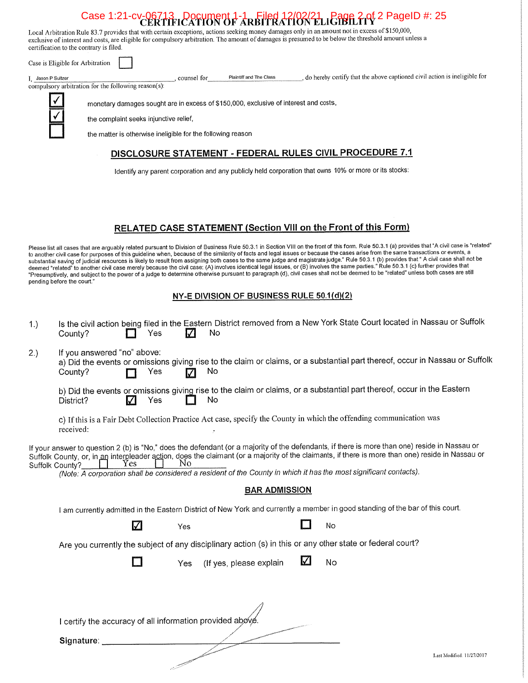# Case 1:21-cv-06713 Document 1-1 Filed 12/02/21 Bage 2-0f 2 PageID #: 25

, do hereby certify that the above captioned civil action is ineligible for

Local Arbitration Rule 83.7 provides that with certain exceptions, actions seeking money damages only in an amount not in excess of \$150,000, exclusive of interest and costs, are eligible for compulsory arbitration. The amount of damages is presumed to be below the threshold amount unless a certification to the contrary is filed.

Case is Eligible for Arbitration

I, Jason P Sultzer

compulsory arbitration for the following reason(s):

monetary damages sought are in excess of \$150,000, exclusive of interest and costs,

, counsel for

the complaint seeks injunctive relief,

the matter is otherwise ineligible for the following reason

# DISCLOSURE STATEMENT - FEDERAL RULES CIVIL PROCEDURE 7.1

Plaintiff and The Class

Identify any parent corporation and any publicly held corporation that owns 10% or more or its stocks:

# RELATED CASE STATEMENT (Section VIII on the Front of this Form)

Please list all cases that are arguably related pursuant to Division of Business Rule 50.3.1 in Section VIII on the front of this form. Rule 50.3.1 (a) provides that "A civil case is "related" Please list all cases that are arguably related pursuant to Division of Business Rule 50.3.1 in Section VIII on the front of mass carise from the same frame transactions or events, a<br>to another civil case for purposes of t deemed "related" to another civil case merely because the civil case: (A) involves identical legal issues, or (B) involves the same parties. Rule 50.5. I (C) further provides that<br>"Presumptively, and subject to the power o pending before the court."

# NY-E DIVISION OF BUSINESS RULE 50.1(d)(2)

| 1.)                                                                                                                                                                                                                                                                                                                                                                                                                                                    | Is the civil action being filed in the Eastern District removed from a New York State Court located in Nassau or Suffolk<br>No<br>Yes<br>County?                                    |  |  |  |  |  |  |
|--------------------------------------------------------------------------------------------------------------------------------------------------------------------------------------------------------------------------------------------------------------------------------------------------------------------------------------------------------------------------------------------------------------------------------------------------------|-------------------------------------------------------------------------------------------------------------------------------------------------------------------------------------|--|--|--|--|--|--|
| 2.)                                                                                                                                                                                                                                                                                                                                                                                                                                                    | If you answered "no" above:<br>a) Did the events or omissions giving rise to the claim or claims, or a substantial part thereof, occur in Nassau or Suffolk<br>No<br>Yes<br>County? |  |  |  |  |  |  |
|                                                                                                                                                                                                                                                                                                                                                                                                                                                        | b) Did the events or omissions giving rise to the claim or claims, or a substantial part thereof, occur in the Eastern<br><b>No</b><br>Yes<br>M<br>District?                        |  |  |  |  |  |  |
|                                                                                                                                                                                                                                                                                                                                                                                                                                                        | c) If this is a Fair Debt Collection Practice Act case, specify the County in which the offending communication was<br>received:                                                    |  |  |  |  |  |  |
| If your answer to question 2 (b) is "No," does the defendant (or a majority of the defendants, if there is more than one) reside in Nassau or<br>Suffolk County, or, in an interpleader action, does the claimant (or a majority of the claimants, if there is more than one) reside in Nassau or<br>Yes<br>Nο<br>Suffolk County?<br>(Note: A corporation shall be considered a resident of the County in which it has the most significant contacts). |                                                                                                                                                                                     |  |  |  |  |  |  |
|                                                                                                                                                                                                                                                                                                                                                                                                                                                        | <b>BAR ADMISSION</b>                                                                                                                                                                |  |  |  |  |  |  |
|                                                                                                                                                                                                                                                                                                                                                                                                                                                        | I am currently admitted in the Eastern District of New York and currently a member in good standing of the bar of this court.                                                       |  |  |  |  |  |  |
|                                                                                                                                                                                                                                                                                                                                                                                                                                                        | Z<br>No<br>Yes                                                                                                                                                                      |  |  |  |  |  |  |
|                                                                                                                                                                                                                                                                                                                                                                                                                                                        | Are you currently the subject of any disciplinary action (s) in this or any other state or federal court?                                                                           |  |  |  |  |  |  |
|                                                                                                                                                                                                                                                                                                                                                                                                                                                        | $\sqrt{}$<br>No<br>(If yes, please explain<br>Yes                                                                                                                                   |  |  |  |  |  |  |
| I certify the accuracy of all information provided above.                                                                                                                                                                                                                                                                                                                                                                                              |                                                                                                                                                                                     |  |  |  |  |  |  |
|                                                                                                                                                                                                                                                                                                                                                                                                                                                        | Signature:                                                                                                                                                                          |  |  |  |  |  |  |
|                                                                                                                                                                                                                                                                                                                                                                                                                                                        | Last Modified: 11/27/2017                                                                                                                                                           |  |  |  |  |  |  |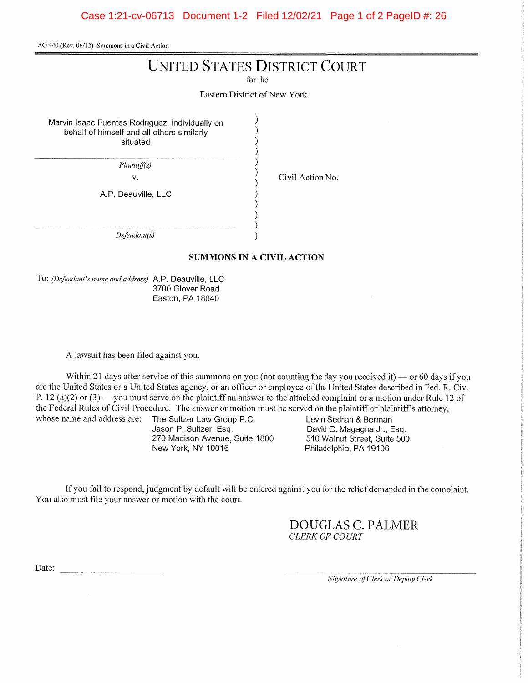AO 440 (Rev. 06/12) Summons in a Civil Action

# **UNITED STATES DISTRICT COURT**

for the

Eastern District of New York

 $\lambda$ 

Marvin Isaac Fuentes Rodriguez, individually on behalf of himself and all others similarly situated

Plaintiff(s)

 $V_{\star}$ 

A.P. Deauville, LLC

Civil Action No.

 $Defendant(s)$ 

# **SUMMONS IN A CIVIL ACTION**

To: (Defendant's name and address) A.P. Deauville, LLC 3700 Glover Road Easton, PA 18040

A lawsuit has been filed against you.

Within 21 days after service of this summons on you (not counting the day you received it) — or 60 days if you are the United States or a United States agency, or an officer or employee of the United States described in Fed. R. Civ. P. 12 (a)(2) or (3) — you must serve on the plaintiff an answer to the attached complaint or a motion under Rule 12 of the Federal Rules of Civil Procedure. The answer or motion must be served on the plaintiff or plaintiff's attorney, whose name and address are:

The Sultzer Law Group P.C. Jason P. Sultzer, Esq. 270 Madison Avenue, Suite 1800 New York, NY 10016

Levin Sedran & Berman David C. Magagna Jr., Esq. 510 Walnut Street, Suite 500 Philadelphia, PA 19106

If you fail to respond, judgment by default will be entered against you for the relief demanded in the complaint. You also must file your answer or motion with the court.

> **DOUGLAS C. PALMER** CLERK OF COURT

Date:

Signature of Clerk or Deputy Clerk